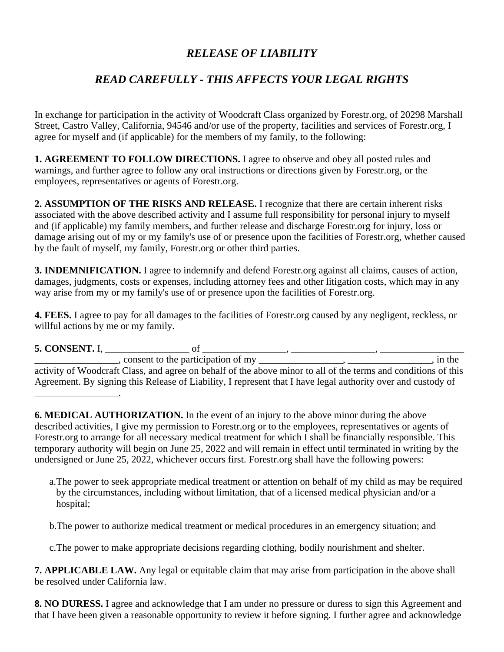## *RELEASE OF LIABILITY*

## *READ CAREFULLY - THIS AFFECTS YOUR LEGAL RIGHTS*

In exchange for participation in the activity of Woodcraft Class organized by Forestr.org, of 20298 Marshall Street, Castro Valley, California, 94546 and/or use of the property, facilities and services of Forestr.org, I agree for myself and (if applicable) for the members of my family, to the following:

**1. AGREEMENT TO FOLLOW DIRECTIONS.** I agree to observe and obey all posted rules and warnings, and further agree to follow any oral instructions or directions given by Forestr.org, or the employees, representatives or agents of Forestr.org.

**2. ASSUMPTION OF THE RISKS AND RELEASE.** I recognize that there are certain inherent risks associated with the above described activity and I assume full responsibility for personal injury to myself and (if applicable) my family members, and further release and discharge Forestr.org for injury, loss or damage arising out of my or my family's use of or presence upon the facilities of Forestr.org, whether caused by the fault of myself, my family, Forestr.org or other third parties.

**3. INDEMNIFICATION.** I agree to indemnify and defend Forestr.org against all claims, causes of action, damages, judgments, costs or expenses, including attorney fees and other litigation costs, which may in any way arise from my or my family's use of or presence upon the facilities of Forestr.org.

**4. FEES.** I agree to pay for all damages to the facilities of Forestr.org caused by any negligent, reckless, or willful actions by me or my family.

**5. CONSENT.** I, \_\_\_\_\_\_\_\_\_\_\_\_\_\_\_\_\_ of \_\_\_\_\_\_\_\_\_\_\_\_\_\_\_\_\_, \_\_\_\_\_\_\_\_\_\_\_\_\_\_\_\_\_, \_\_\_\_\_\_\_\_\_\_\_\_\_\_\_\_\_

 $\blacksquare$ , consent to the participation of my  $\blacksquare$ ,  $\blacksquare$ ,  $\blacksquare$ ,  $\blacksquare$ ,  $\blacksquare$ , in the activity of Woodcraft Class, and agree on behalf of the above minor to all of the terms and conditions of this Agreement. By signing this Release of Liability, I represent that I have legal authority over and custody of \_\_\_\_\_\_\_\_\_\_\_\_\_\_\_\_\_.

**6. MEDICAL AUTHORIZATION.** In the event of an injury to the above minor during the above described activities, I give my permission to Forestr.org or to the employees, representatives or agents of Forestr.org to arrange for all necessary medical treatment for which I shall be financially responsible. This temporary authority will begin on June 25, 2022 and will remain in effect until terminated in writing by the undersigned or June 25, 2022, whichever occurs first. Forestr.org shall have the following powers:

a.The power to seek appropriate medical treatment or attention on behalf of my child as may be required by the circumstances, including without limitation, that of a licensed medical physician and/or a hospital;

b.The power to authorize medical treatment or medical procedures in an emergency situation; and

c.The power to make appropriate decisions regarding clothing, bodily nourishment and shelter.

**7. APPLICABLE LAW.** Any legal or equitable claim that may arise from participation in the above shall be resolved under California law.

**8. NO DURESS.** I agree and acknowledge that I am under no pressure or duress to sign this Agreement and that I have been given a reasonable opportunity to review it before signing. I further agree and acknowledge